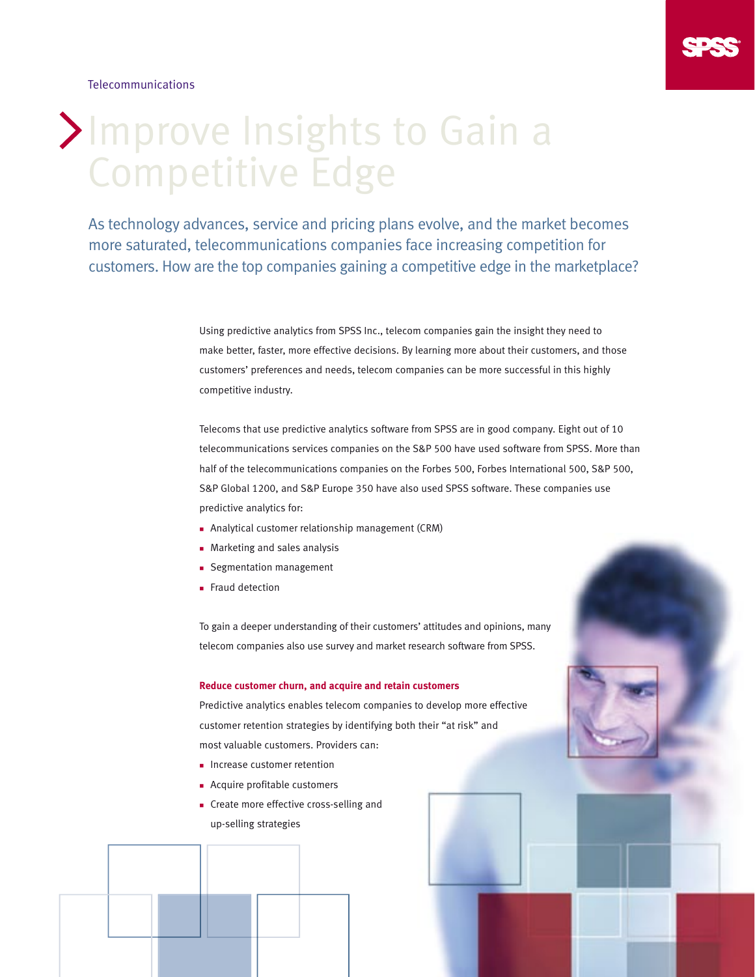

Telecommunications

# Improve Insights to Gain a Competitive Edge

As technology advances, service and pricing plans evolve, and the market becomes more saturated, telecommunications companies face increasing competition for customers. How are the top companies gaining a competitive edge in the marketplace?

> Using predictive analytics from SPSS Inc., telecom companies gain the insight they need to make better, faster, more effective decisions. By learning more about their customers, and those customers' preferences and needs, telecom companies can be more successful in this highly competitive industry.

Telecoms that use predictive analytics software from SPSS are in good company. Eight out of 10 telecommunications services companies on the S&P 500 have used software from SPSS. More than half of the telecommunications companies on the Forbes 500, Forbes International 500, S&P 500, S&P Global 1200, and S&P Europe 350 have also used SPSS software. These companies use predictive analytics for:

- n Analytical customer relationship management (CRM)
- **n** Marketing and sales analysis
- **n** Segmentation management
- **Fraud detection**

To gain a deeper understanding of their customers' attitudes and opinions, many telecom companies also use survey and market research software from SPSS.

### **Reduce customer churn, and acquire and retain customers**

Predictive analytics enables telecom companies to develop more effective customer retention strategies by identifying both their "at risk" and most valuable customers. Providers can:

- **n** Increase customer retention
- **n** Acquire profitable customers
- **n** Create more effective cross-selling and up-selling strategies

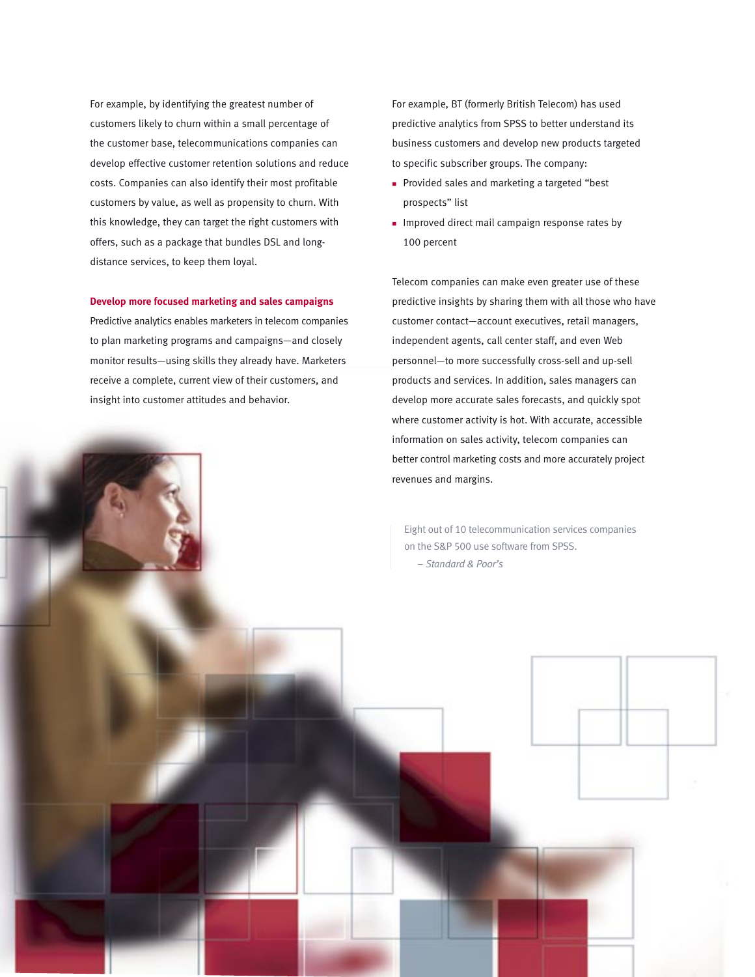For example, by identifying the greatest number of customers likely to churn within a small percentage of the customer base, telecommunications companies can develop effective customer retention solutions and reduce costs. Companies can also identify their most profitable customers by value, as well as propensity to churn. With this knowledge, they can target the right customers with offers, such as a package that bundles DSL and longdistance services, to keep them loyal.

### **Develop more focused marketing and sales campaigns**

Predictive analytics enables marketers in telecom companies to plan marketing programs and campaigns—and closely monitor results—using skills they already have. Marketers receive a complete, current view of their customers, and insight into customer attitudes and behavior.

For example, BT (formerly British Telecom) has used predictive analytics from SPSS to better understand its business customers and develop new products targeted to specific subscriber groups. The company:

- <sup>n</sup> Provided sales and marketing a targeted "best prospects" list
- **n** Improved direct mail campaign response rates by 100 percent

Telecom companies can make even greater use of these predictive insights by sharing them with all those who have customer contact—account executives, retail managers, independent agents, call center staff, and even Web personnel—to more successfully cross-sell and up-sell products and services. In addition, sales managers can develop more accurate sales forecasts, and quickly spot where customer activity is hot. With accurate, accessible information on sales activity, telecom companies can better control marketing costs and more accurately project revenues and margins.

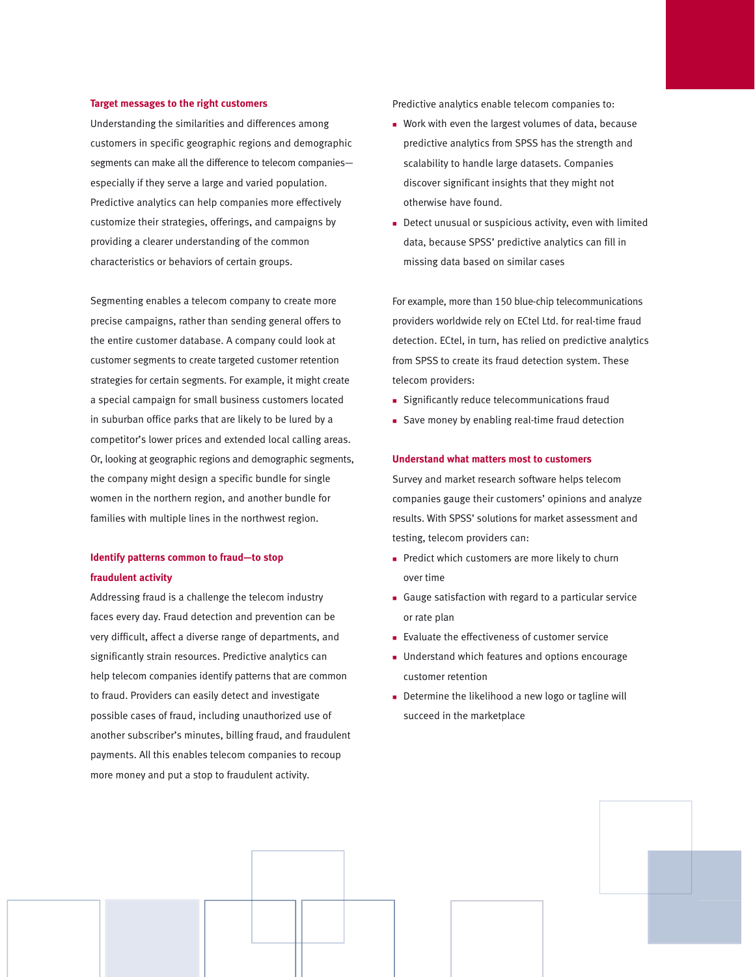#### **Target messages to the right customers**

Understanding the similarities and differences among customers in specific geographic regions and demographic segments can make all the difference to telecom companies especially if they serve a large and varied population. Predictive analytics can help companies more effectively customize their strategies, offerings, and campaigns by providing a clearer understanding of the common characteristics or behaviors of certain groups.

Segmenting enables a telecom company to create more precise campaigns, rather than sending general offers to the entire customer database. A company could look at customer segments to create targeted customer retention strategies for certain segments. For example, it might create a special campaign for small business customers located in suburban office parks that are likely to be lured by a competitor's lower prices and extended local calling areas. Or, looking at geographic regions and demographic segments, the company might design a specific bundle for single women in the northern region, and another bundle for families with multiple lines in the northwest region.

## **Identify patterns common to fraud—to stop fraudulent activity**

Addressing fraud is a challenge the telecom industry faces every day. Fraud detection and prevention can be very difficult, affect a diverse range of departments, and significantly strain resources. Predictive analytics can help telecom companies identify patterns that are common to fraud. Providers can easily detect and investigate possible cases of fraud, including unauthorized use of another subscriber's minutes, billing fraud, and fraudulent payments. All this enables telecom companies to recoup more money and put a stop to fraudulent activity.

Predictive analytics enable telecom companies to:

- **Nork with even the largest volumes of data, because** predictive analytics from SPSS has the strength and scalability to handle large datasets. Companies discover significant insights that they might not otherwise have found.
- Detect unusual or suspicious activity, even with limited data, because SPSS' predictive analytics can fill in missing data based on similar cases

For example, more than 150 blue-chip telecommunications providers worldwide rely on ECtel Ltd. for real-time fraud detection. ECtel, in turn, has relied on predictive analytics from SPSS to create its fraud detection system. These telecom providers:

- **n** Significantly reduce telecommunications fraud
- **n** Save money by enabling real-time fraud detection

#### **Understand what matters most to customers**

Survey and market research software helps telecom companies gauge their customers' opinions and analyze results. With SPSS' solutions for market assessment and testing, telecom providers can:

- $\blacksquare$  Predict which customers are more likely to churn over time
- <sup>n</sup> Gauge satisfaction with regard to a particular service or rate plan
- Evaluate the effectiveness of customer service
- **n** Understand which features and options encourage customer retention
- $\blacksquare$  Determine the likelihood a new logo or tagline will succeed in the marketplace